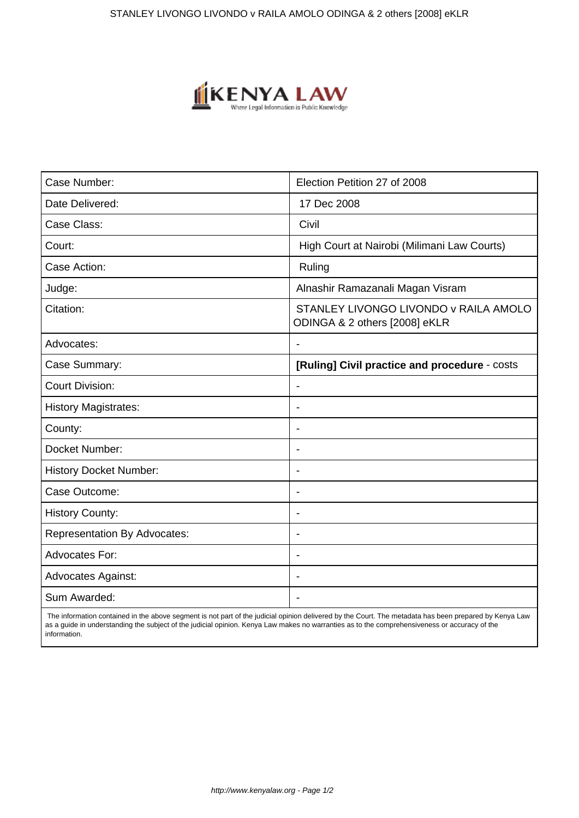

| Case Number:                        | Election Petition 27 of 2008                                           |
|-------------------------------------|------------------------------------------------------------------------|
| Date Delivered:                     | 17 Dec 2008                                                            |
| Case Class:                         | Civil                                                                  |
| Court:                              | High Court at Nairobi (Milimani Law Courts)                            |
| Case Action:                        | Ruling                                                                 |
| Judge:                              | Alnashir Ramazanali Magan Visram                                       |
| Citation:                           | STANLEY LIVONGO LIVONDO V RAILA AMOLO<br>ODINGA & 2 others [2008] eKLR |
| Advocates:                          |                                                                        |
| Case Summary:                       | [Ruling] Civil practice and procedure - costs                          |
| <b>Court Division:</b>              |                                                                        |
| <b>History Magistrates:</b>         | $\blacksquare$                                                         |
| County:                             | $\overline{\phantom{0}}$                                               |
| Docket Number:                      |                                                                        |
| <b>History Docket Number:</b>       | $\blacksquare$                                                         |
| Case Outcome:                       |                                                                        |
| <b>History County:</b>              |                                                                        |
| <b>Representation By Advocates:</b> | $\overline{\phantom{a}}$                                               |
| Advocates For:                      | $\overline{\phantom{0}}$                                               |
| <b>Advocates Against:</b>           | ÷                                                                      |
| Sum Awarded:                        |                                                                        |

 The information contained in the above segment is not part of the judicial opinion delivered by the Court. The metadata has been prepared by Kenya Law as a guide in understanding the subject of the judicial opinion. Kenya Law makes no warranties as to the comprehensiveness or accuracy of the information.